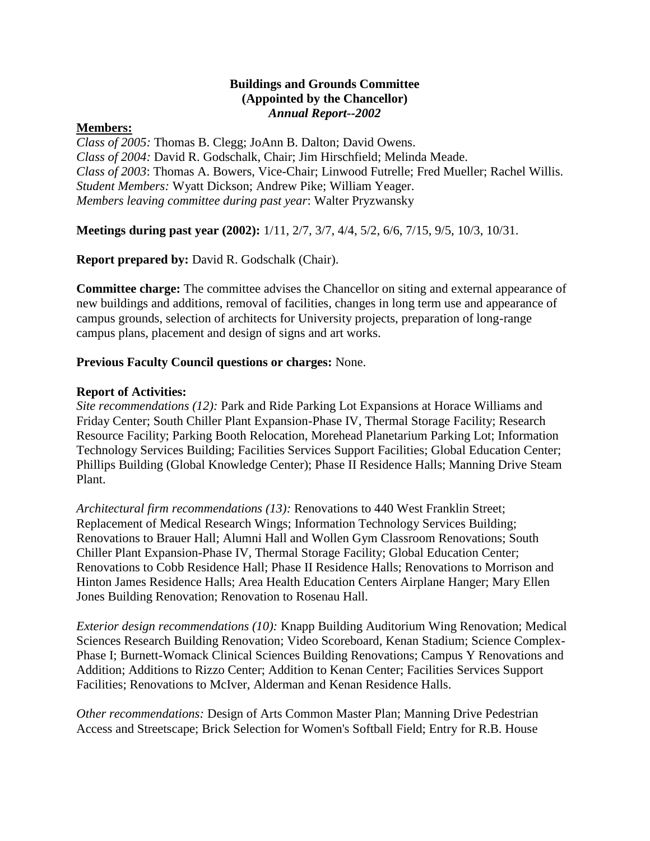### **Buildings and Grounds Committee (Appointed by the Chancellor)** *Annual Report--2002*

#### **Members:**

*Class of 2005:* Thomas B. Clegg; JoAnn B. Dalton; David Owens. *Class of 2004:* David R. Godschalk, Chair; Jim Hirschfield; Melinda Meade. *Class of 2003*: Thomas A. Bowers, Vice-Chair; Linwood Futrelle; Fred Mueller; Rachel Willis. *Student Members:* Wyatt Dickson; Andrew Pike; William Yeager. *Members leaving committee during past year*: Walter Pryzwansky

**Meetings during past year (2002):** 1/11, 2/7, 3/7, 4/4, 5/2, 6/6, 7/15, 9/5, 10/3, 10/31.

**Report prepared by:** David R. Godschalk (Chair).

**Committee charge:** The committee advises the Chancellor on siting and external appearance of new buildings and additions, removal of facilities, changes in long term use and appearance of campus grounds, selection of architects for University projects, preparation of long-range campus plans, placement and design of signs and art works.

### **Previous Faculty Council questions or charges:** None.

#### **Report of Activities:**

*Site recommendations (12):* Park and Ride Parking Lot Expansions at Horace Williams and Friday Center; South Chiller Plant Expansion-Phase IV, Thermal Storage Facility; Research Resource Facility; Parking Booth Relocation, Morehead Planetarium Parking Lot; Information Technology Services Building; Facilities Services Support Facilities; Global Education Center; Phillips Building (Global Knowledge Center); Phase II Residence Halls; Manning Drive Steam Plant.

*Architectural firm recommendations (13):* Renovations to 440 West Franklin Street; Replacement of Medical Research Wings; Information Technology Services Building; Renovations to Brauer Hall; Alumni Hall and Wollen Gym Classroom Renovations; South Chiller Plant Expansion-Phase IV, Thermal Storage Facility; Global Education Center; Renovations to Cobb Residence Hall; Phase II Residence Halls; Renovations to Morrison and Hinton James Residence Halls; Area Health Education Centers Airplane Hanger; Mary Ellen Jones Building Renovation; Renovation to Rosenau Hall.

*Exterior design recommendations (10):* Knapp Building Auditorium Wing Renovation; Medical Sciences Research Building Renovation; Video Scoreboard, Kenan Stadium; Science Complex-Phase I; Burnett-Womack Clinical Sciences Building Renovations; Campus Y Renovations and Addition; Additions to Rizzo Center; Addition to Kenan Center; Facilities Services Support Facilities; Renovations to McIver, Alderman and Kenan Residence Halls.

*Other recommendations:* Design of Arts Common Master Plan; Manning Drive Pedestrian Access and Streetscape; Brick Selection for Women's Softball Field; Entry for R.B. House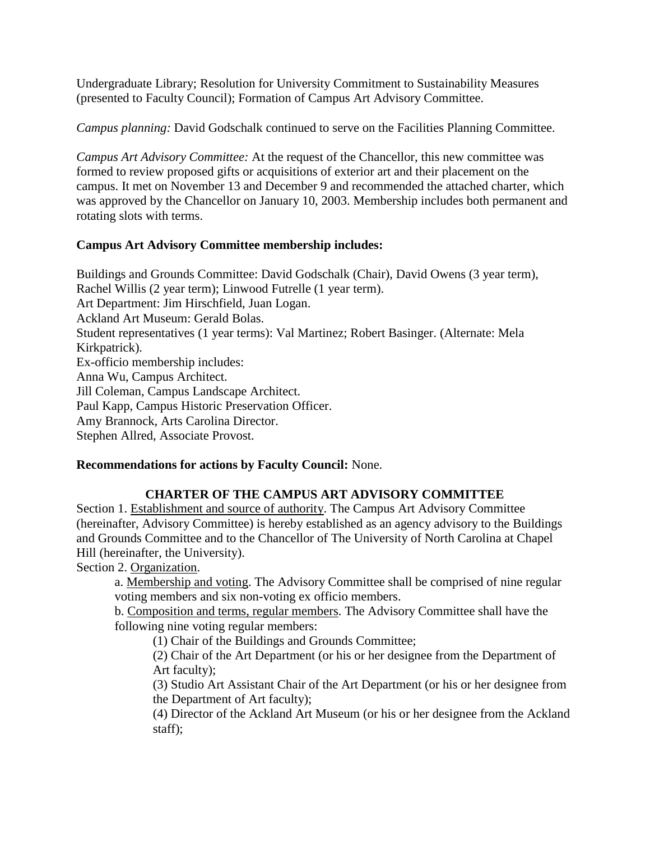Undergraduate Library; Resolution for University Commitment to Sustainability Measures (presented to Faculty Council); Formation of Campus Art Advisory Committee.

*Campus planning:* David Godschalk continued to serve on the Facilities Planning Committee.

*Campus Art Advisory Committee:* At the request of the Chancellor, this new committee was formed to review proposed gifts or acquisitions of exterior art and their placement on the campus. It met on November 13 and December 9 and recommended the attached charter, which was approved by the Chancellor on January 10, 2003. Membership includes both permanent and rotating slots with terms.

# **Campus Art Advisory Committee membership includes:**

Buildings and Grounds Committee: David Godschalk (Chair), David Owens (3 year term), Rachel Willis (2 year term); Linwood Futrelle (1 year term). Art Department: Jim Hirschfield, Juan Logan. Ackland Art Museum: Gerald Bolas. Student representatives (1 year terms): Val Martinez; Robert Basinger. (Alternate: Mela Kirkpatrick). Ex-officio membership includes: Anna Wu, Campus Architect. Jill Coleman, Campus Landscape Architect. Paul Kapp, Campus Historic Preservation Officer. Amy Brannock, Arts Carolina Director. Stephen Allred, Associate Provost.

## **Recommendations for actions by Faculty Council:** None.

# **CHARTER OF THE CAMPUS ART ADVISORY COMMITTEE**

Section 1. Establishment and source of authority. The Campus Art Advisory Committee (hereinafter, Advisory Committee) is hereby established as an agency advisory to the Buildings and Grounds Committee and to the Chancellor of The University of North Carolina at Chapel Hill (hereinafter, the University).

Section 2. Organization.

a. Membership and voting. The Advisory Committee shall be comprised of nine regular voting members and six non-voting ex officio members.

b. Composition and terms, regular members. The Advisory Committee shall have the following nine voting regular members:

(1) Chair of the Buildings and Grounds Committee;

(2) Chair of the Art Department (or his or her designee from the Department of Art faculty);

(3) Studio Art Assistant Chair of the Art Department (or his or her designee from the Department of Art faculty);

(4) Director of the Ackland Art Museum (or his or her designee from the Ackland staff);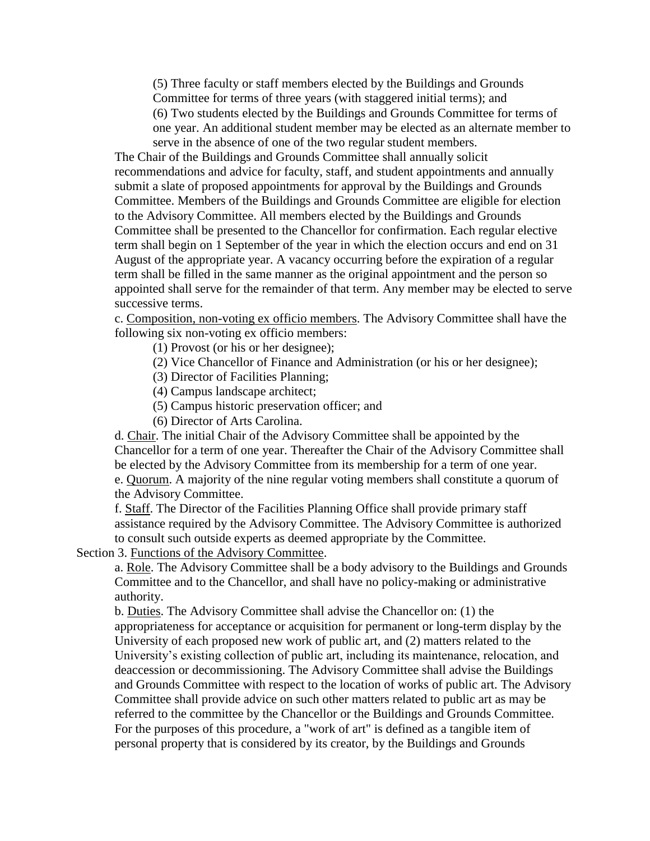(5) Three faculty or staff members elected by the Buildings and Grounds Committee for terms of three years (with staggered initial terms); and (6) Two students elected by the Buildings and Grounds Committee for terms of one year. An additional student member may be elected as an alternate member to serve in the absence of one of the two regular student members.

The Chair of the Buildings and Grounds Committee shall annually solicit recommendations and advice for faculty, staff, and student appointments and annually submit a slate of proposed appointments for approval by the Buildings and Grounds Committee. Members of the Buildings and Grounds Committee are eligible for election to the Advisory Committee. All members elected by the Buildings and Grounds Committee shall be presented to the Chancellor for confirmation. Each regular elective term shall begin on 1 September of the year in which the election occurs and end on 31 August of the appropriate year. A vacancy occurring before the expiration of a regular term shall be filled in the same manner as the original appointment and the person so appointed shall serve for the remainder of that term. Any member may be elected to serve successive terms.

c. Composition, non-voting ex officio members. The Advisory Committee shall have the following six non-voting ex officio members:

(1) Provost (or his or her designee);

(2) Vice Chancellor of Finance and Administration (or his or her designee);

(3) Director of Facilities Planning;

(4) Campus landscape architect;

(5) Campus historic preservation officer; and

(6) Director of Arts Carolina.

d. Chair. The initial Chair of the Advisory Committee shall be appointed by the Chancellor for a term of one year. Thereafter the Chair of the Advisory Committee shall be elected by the Advisory Committee from its membership for a term of one year. e. Quorum. A majority of the nine regular voting members shall constitute a quorum of the Advisory Committee.

f. Staff. The Director of the Facilities Planning Office shall provide primary staff assistance required by the Advisory Committee. The Advisory Committee is authorized to consult such outside experts as deemed appropriate by the Committee.

Section 3. Functions of the Advisory Committee.

a. Role. The Advisory Committee shall be a body advisory to the Buildings and Grounds Committee and to the Chancellor, and shall have no policy-making or administrative authority.

b. Duties. The Advisory Committee shall advise the Chancellor on: (1) the appropriateness for acceptance or acquisition for permanent or long-term display by the University of each proposed new work of public art, and (2) matters related to the University's existing collection of public art, including its maintenance, relocation, and deaccession or decommissioning. The Advisory Committee shall advise the Buildings and Grounds Committee with respect to the location of works of public art. The Advisory Committee shall provide advice on such other matters related to public art as may be referred to the committee by the Chancellor or the Buildings and Grounds Committee. For the purposes of this procedure, a "work of art" is defined as a tangible item of personal property that is considered by its creator, by the Buildings and Grounds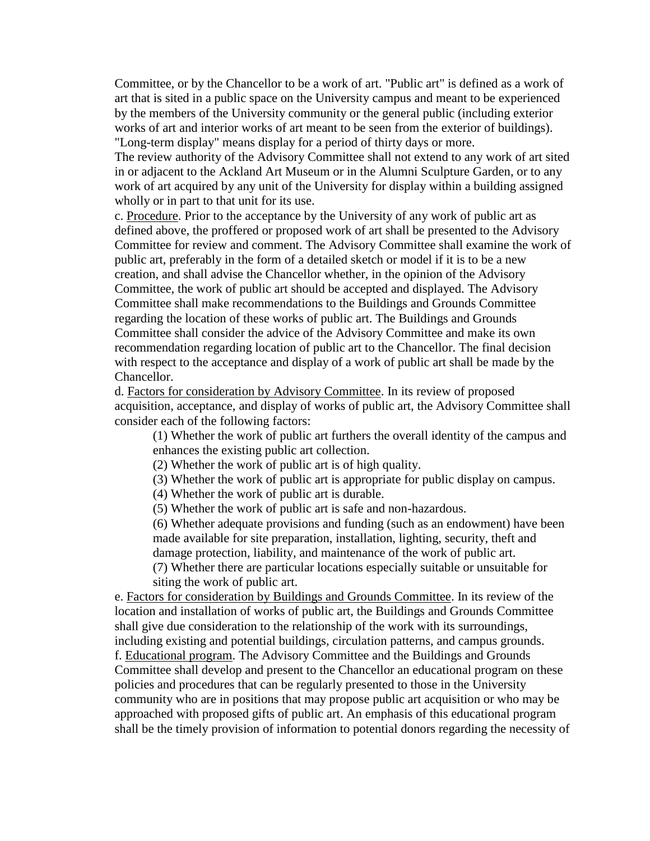Committee, or by the Chancellor to be a work of art. "Public art" is defined as a work of art that is sited in a public space on the University campus and meant to be experienced by the members of the University community or the general public (including exterior works of art and interior works of art meant to be seen from the exterior of buildings). "Long-term display" means display for a period of thirty days or more.

The review authority of the Advisory Committee shall not extend to any work of art sited in or adjacent to the Ackland Art Museum or in the Alumni Sculpture Garden, or to any work of art acquired by any unit of the University for display within a building assigned wholly or in part to that unit for its use.

c. Procedure. Prior to the acceptance by the University of any work of public art as defined above, the proffered or proposed work of art shall be presented to the Advisory Committee for review and comment. The Advisory Committee shall examine the work of public art, preferably in the form of a detailed sketch or model if it is to be a new creation, and shall advise the Chancellor whether, in the opinion of the Advisory Committee, the work of public art should be accepted and displayed. The Advisory Committee shall make recommendations to the Buildings and Grounds Committee regarding the location of these works of public art. The Buildings and Grounds Committee shall consider the advice of the Advisory Committee and make its own recommendation regarding location of public art to the Chancellor. The final decision with respect to the acceptance and display of a work of public art shall be made by the Chancellor.

d. Factors for consideration by Advisory Committee. In its review of proposed acquisition, acceptance, and display of works of public art, the Advisory Committee shall consider each of the following factors:

(1) Whether the work of public art furthers the overall identity of the campus and enhances the existing public art collection.

(2) Whether the work of public art is of high quality.

(3) Whether the work of public art is appropriate for public display on campus.

(4) Whether the work of public art is durable.

(5) Whether the work of public art is safe and non-hazardous.

(6) Whether adequate provisions and funding (such as an endowment) have been made available for site preparation, installation, lighting, security, theft and damage protection, liability, and maintenance of the work of public art.

(7) Whether there are particular locations especially suitable or unsuitable for siting the work of public art.

e. Factors for consideration by Buildings and Grounds Committee. In its review of the location and installation of works of public art, the Buildings and Grounds Committee shall give due consideration to the relationship of the work with its surroundings, including existing and potential buildings, circulation patterns, and campus grounds. f. Educational program. The Advisory Committee and the Buildings and Grounds Committee shall develop and present to the Chancellor an educational program on these policies and procedures that can be regularly presented to those in the University community who are in positions that may propose public art acquisition or who may be approached with proposed gifts of public art. An emphasis of this educational program shall be the timely provision of information to potential donors regarding the necessity of